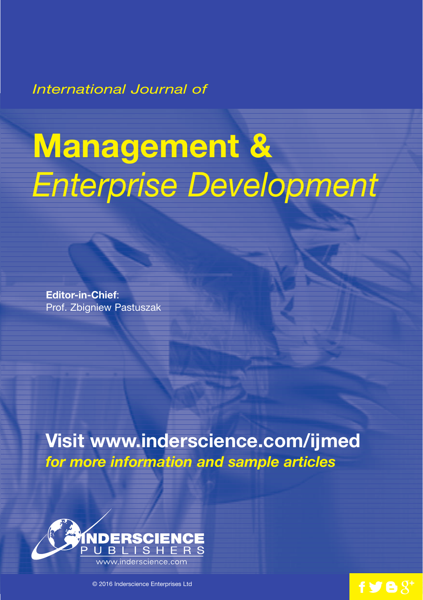*International Journal of*

# **Management &** *Enterprise Development*

**Editor-in-Chief**: Prof. Zbigniew Pastuszak

**Visit www.inderscience.com/ijmed** *for more information and sample articles*



© 2016 Inderscience Enterprises Ltd